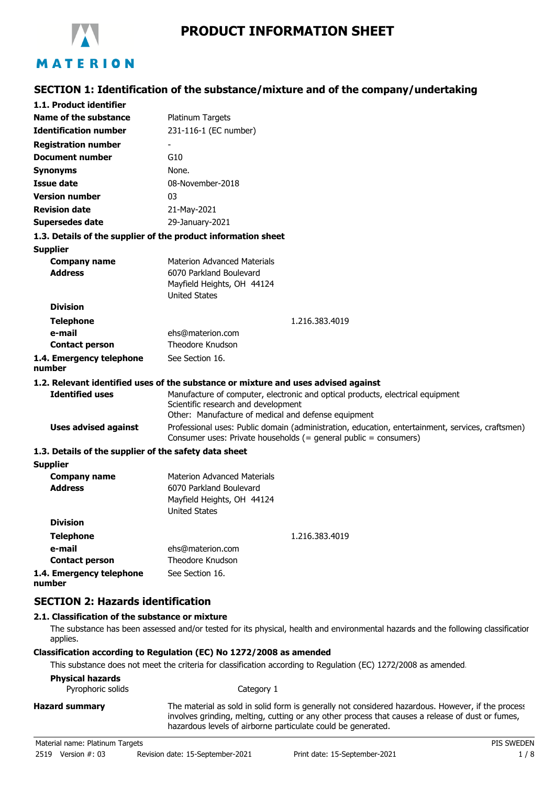

# **SECTION 1: Identification of the substance/mixture and of the company/undertaking**

| 1.1. Product identifier                               |                                                                                                                                                                      |
|-------------------------------------------------------|----------------------------------------------------------------------------------------------------------------------------------------------------------------------|
| Name of the substance                                 | Platinum Targets                                                                                                                                                     |
| <b>Identification number</b>                          | 231-116-1 (EC number)                                                                                                                                                |
| <b>Registration number</b>                            |                                                                                                                                                                      |
| <b>Document number</b>                                | G10                                                                                                                                                                  |
| <b>Synonyms</b>                                       | None.                                                                                                                                                                |
| Issue date                                            | 08-November-2018                                                                                                                                                     |
| <b>Version number</b>                                 | 03                                                                                                                                                                   |
| <b>Revision date</b>                                  | 21-May-2021                                                                                                                                                          |
| <b>Supersedes date</b>                                | 29-January-2021                                                                                                                                                      |
|                                                       | 1.3. Details of the supplier of the product information sheet                                                                                                        |
| <b>Supplier</b>                                       |                                                                                                                                                                      |
| <b>Company name</b>                                   | <b>Materion Advanced Materials</b>                                                                                                                                   |
| <b>Address</b>                                        | 6070 Parkland Boulevard                                                                                                                                              |
|                                                       | Mayfield Heights, OH 44124                                                                                                                                           |
| <b>Division</b>                                       | <b>United States</b>                                                                                                                                                 |
|                                                       |                                                                                                                                                                      |
| <b>Telephone</b><br>e-mail                            | 1.216.383.4019                                                                                                                                                       |
| <b>Contact person</b>                                 | ehs@materion.com<br>Theodore Knudson                                                                                                                                 |
| 1.4. Emergency telephone                              | See Section 16.                                                                                                                                                      |
| number                                                |                                                                                                                                                                      |
|                                                       | 1.2. Relevant identified uses of the substance or mixture and uses advised against                                                                                   |
| <b>Identified uses</b>                                | Manufacture of computer, electronic and optical products, electrical equipment                                                                                       |
|                                                       | Scientific research and development                                                                                                                                  |
|                                                       | Other: Manufacture of medical and defense equipment                                                                                                                  |
| <b>Uses advised against</b>                           | Professional uses: Public domain (administration, education, entertainment, services, craftsmen)<br>Consumer uses: Private households (= general public = consumers) |
| 1.3. Details of the supplier of the safety data sheet |                                                                                                                                                                      |
| <b>Supplier</b>                                       |                                                                                                                                                                      |
| <b>Company name</b>                                   | <b>Materion Advanced Materials</b>                                                                                                                                   |
| <b>Address</b>                                        | 6070 Parkland Boulevard                                                                                                                                              |
|                                                       | Mayfield Heights, OH 44124<br><b>United States</b>                                                                                                                   |
| <b>Division</b>                                       |                                                                                                                                                                      |
| <b>Telephone</b>                                      | 1.216.383.4019                                                                                                                                                       |
| e-mail                                                | ehs@materion.com                                                                                                                                                     |
| <b>Contact person</b>                                 | Theodore Knudson                                                                                                                                                     |
| 1.4. Emergency telephone<br>number                    | See Section 16.                                                                                                                                                      |
|                                                       |                                                                                                                                                                      |

# **SECTION 2: Hazards identification**

# **2.1. Classification of the substance or mixture**

The substance has been assessed and/or tested for its physical, health and environmental hazards and the following classification applies.

### **Classification according to Regulation (EC) No 1272/2008 as amended**

This substance does not meet the criteria for classification according to Regulation (EC) 1272/2008 as amended.

## **Physical hazards**

Pyrophoric solids **Example 2018** Category 1

| <b>Hazard summary</b> | The material as sold in solid form is generally not considered hazardous. However, if the process |
|-----------------------|---------------------------------------------------------------------------------------------------|
|                       | involves grinding, melting, cutting or any other process that causes a release of dust or fumes,  |
|                       | hazardous levels of airborne particulate could be generated.                                      |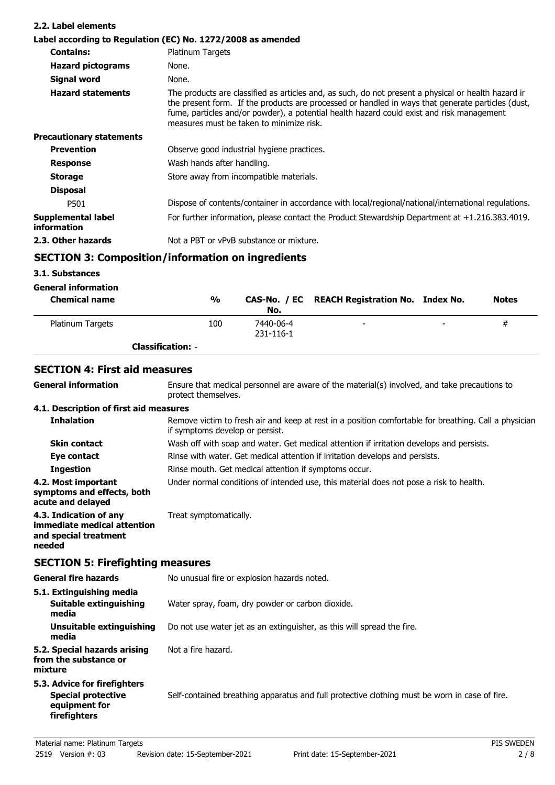| 2.2. Label elements               |                                                                                                                                                                                                                                                                                                                                                   |
|-----------------------------------|---------------------------------------------------------------------------------------------------------------------------------------------------------------------------------------------------------------------------------------------------------------------------------------------------------------------------------------------------|
|                                   | Label according to Regulation (EC) No. 1272/2008 as amended                                                                                                                                                                                                                                                                                       |
| <b>Contains:</b>                  | Platinum Targets                                                                                                                                                                                                                                                                                                                                  |
| <b>Hazard pictograms</b>          | None.                                                                                                                                                                                                                                                                                                                                             |
| Signal word                       | None.                                                                                                                                                                                                                                                                                                                                             |
| <b>Hazard statements</b>          | The products are classified as articles and, as such, do not present a physical or health hazard ir<br>the present form. If the products are processed or handled in ways that generate particles (dust,<br>fume, particles and/or powder), a potential health hazard could exist and risk management<br>measures must be taken to minimize risk. |
| <b>Precautionary statements</b>   |                                                                                                                                                                                                                                                                                                                                                   |
| <b>Prevention</b>                 | Observe good industrial hygiene practices.                                                                                                                                                                                                                                                                                                        |
| <b>Response</b>                   | Wash hands after handling.                                                                                                                                                                                                                                                                                                                        |
| <b>Storage</b>                    | Store away from incompatible materials.                                                                                                                                                                                                                                                                                                           |
| <b>Disposal</b>                   |                                                                                                                                                                                                                                                                                                                                                   |
| P501                              | Dispose of contents/container in accordance with local/regional/national/international regulations.                                                                                                                                                                                                                                               |
| Supplemental label<br>information | For further information, please contact the Product Stewardship Department at $+1.216.383.4019$ .                                                                                                                                                                                                                                                 |
| 2.3. Other hazards                | Not a PBT or vPvB substance or mixture.                                                                                                                                                                                                                                                                                                           |

# **SECTION 3: Composition/information on ingredients**

# **3.1. Substances**

# **General information**

| <b>Chemical name</b> | %                        | No.                    | CAS-No. / EC REACH Registration No. Index No. |                | <b>Notes</b> |
|----------------------|--------------------------|------------------------|-----------------------------------------------|----------------|--------------|
| Platinum Targets     | 100                      | 7440-06-4<br>231-116-1 | $\overline{\phantom{a}}$                      | $\overline{a}$ | #            |
|                      | <b>Classification: -</b> |                        |                                               |                |              |

# **SECTION 4: First aid measures**

| <b>General information</b>                                                                 | Ensure that medical personnel are aware of the material(s) involved, and take precautions to<br>protect themselves.                      |
|--------------------------------------------------------------------------------------------|------------------------------------------------------------------------------------------------------------------------------------------|
| 4.1. Description of first aid measures                                                     |                                                                                                                                          |
| <b>Inhalation</b>                                                                          | Remove victim to fresh air and keep at rest in a position comfortable for breathing. Call a physician<br>if symptoms develop or persist. |
| <b>Skin contact</b>                                                                        | Wash off with soap and water. Get medical attention if irritation develops and persists.                                                 |
| Eye contact                                                                                | Rinse with water. Get medical attention if irritation develops and persists.                                                             |
| <b>Ingestion</b>                                                                           | Rinse mouth. Get medical attention if symptoms occur.                                                                                    |
| 4.2. Most important<br>symptoms and effects, both<br>acute and delayed                     | Under normal conditions of intended use, this material does not pose a risk to health.                                                   |
| 4.3. Indication of any<br>immediate medical attention<br>and special treatment<br>needed   | Treat symptomatically.                                                                                                                   |
| <b>SECTION 5: Firefighting measures</b>                                                    |                                                                                                                                          |
| <b>General fire hazards</b>                                                                | No unusual fire or explosion hazards noted.                                                                                              |
| 5.1. Extinguishing media<br><b>Suitable extinguishing</b><br>media                         | Water spray, foam, dry powder or carbon dioxide.                                                                                         |
| Unsuitable extinguishing<br>media                                                          | Do not use water jet as an extinguisher, as this will spread the fire.                                                                   |
| 5.2. Special hazards arising<br>from the substance or<br>mixture                           | Not a fire hazard.                                                                                                                       |
| 5.3. Advice for firefighters<br><b>Special protective</b><br>equipment for<br>firefighters | Self-contained breathing apparatus and full protective clothing must be worn in case of fire.                                            |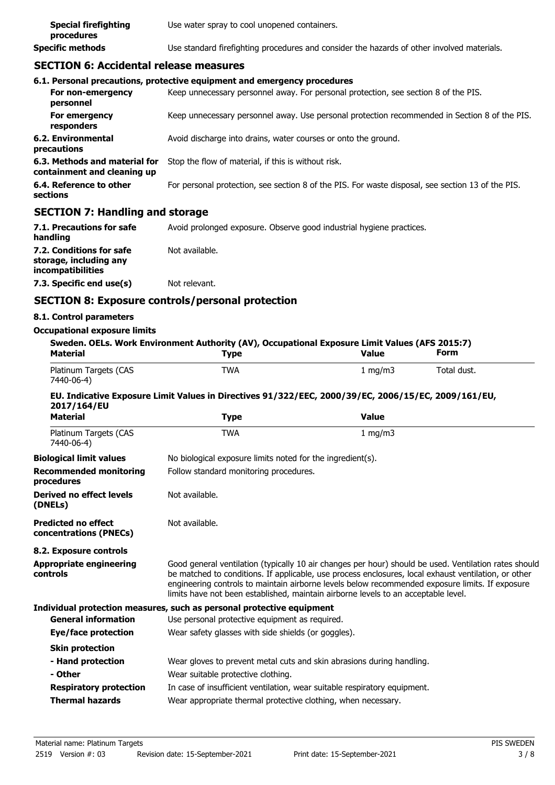| <b>Special firefighting</b><br>procedures | Use water spray to cool unopened containers.                                               |
|-------------------------------------------|--------------------------------------------------------------------------------------------|
| Specific methods                          | Use standard firefighting procedures and consider the hazards of other involved materials. |

# **SECTION 6: Accidental release measures**

|                                                              | 6.1. Personal precautions, protective equipment and emergency procedures                          |
|--------------------------------------------------------------|---------------------------------------------------------------------------------------------------|
| For non-emergency<br>personnel                               | Keep unnecessary personnel away. For personal protection, see section 8 of the PIS.               |
| For emergency<br>responders                                  | Keep unnecessary personnel away. Use personal protection recommended in Section 8 of the PIS.     |
| 6.2. Environmental<br>precautions                            | Avoid discharge into drains, water courses or onto the ground.                                    |
| 6.3. Methods and material for<br>containment and cleaning up | Stop the flow of material, if this is without risk.                                               |
| 6.4. Reference to other<br>sections                          | For personal protection, see section 8 of the PIS. For waste disposal, see section 13 of the PIS. |

# **SECTION 7: Handling and storage**

| 7.1. Precautions for safe<br>handling                                   | Avoid prolonged exposure. Observe good industrial hygiene practices. |
|-------------------------------------------------------------------------|----------------------------------------------------------------------|
| 7.2. Conditions for safe<br>storage, including any<br>incompatibilities | Not available.                                                       |
| 7.3. Specific end use(s)                                                | Not relevant.                                                        |

# **SECTION 8: Exposure controls/personal protection**

## **8.1. Control parameters**

#### **Occupational exposure limits**

| <b>Material</b>                                      | Sweden. OELs. Work Environment Authority (AV), Occupational Exposure Limit Values (AFS 2015:7)<br><b>Type</b>                                                                                                                                                                                                                                                                                          | <b>Value</b>     | <b>Form</b> |
|------------------------------------------------------|--------------------------------------------------------------------------------------------------------------------------------------------------------------------------------------------------------------------------------------------------------------------------------------------------------------------------------------------------------------------------------------------------------|------------------|-------------|
| Platinum Targets (CAS<br>7440-06-4)                  | <b>TWA</b>                                                                                                                                                                                                                                                                                                                                                                                             | $1 \text{ mg/m}$ | Total dust. |
| 2017/164/EU                                          | EU. Indicative Exposure Limit Values in Directives 91/322/EEC, 2000/39/EC, 2006/15/EC, 2009/161/EU,                                                                                                                                                                                                                                                                                                    |                  |             |
| <b>Material</b>                                      | <b>Type</b>                                                                                                                                                                                                                                                                                                                                                                                            | <b>Value</b>     |             |
| Platinum Targets (CAS<br>7440-06-4)                  | <b>TWA</b>                                                                                                                                                                                                                                                                                                                                                                                             | 1 mg/m $3$       |             |
| <b>Biological limit values</b>                       | No biological exposure limits noted for the ingredient(s).                                                                                                                                                                                                                                                                                                                                             |                  |             |
| <b>Recommended monitoring</b><br>procedures          | Follow standard monitoring procedures.                                                                                                                                                                                                                                                                                                                                                                 |                  |             |
| <b>Derived no effect levels</b><br>(DNELs)           | Not available.                                                                                                                                                                                                                                                                                                                                                                                         |                  |             |
| <b>Predicted no effect</b><br>concentrations (PNECs) | Not available.                                                                                                                                                                                                                                                                                                                                                                                         |                  |             |
| 8.2. Exposure controls                               |                                                                                                                                                                                                                                                                                                                                                                                                        |                  |             |
| <b>Appropriate engineering</b><br>controls           | Good general ventilation (typically 10 air changes per hour) should be used. Ventilation rates should<br>be matched to conditions. If applicable, use process enclosures, local exhaust ventilation, or other<br>engineering controls to maintain airborne levels below recommended exposure limits. If exposure<br>limits have not been established, maintain airborne levels to an acceptable level. |                  |             |
|                                                      | Individual protection measures, such as personal protective equipment                                                                                                                                                                                                                                                                                                                                  |                  |             |
| <b>General information</b>                           | Use personal protective equipment as required.                                                                                                                                                                                                                                                                                                                                                         |                  |             |
| Eye/face protection                                  | Wear safety glasses with side shields (or goggles).                                                                                                                                                                                                                                                                                                                                                    |                  |             |
| <b>Skin protection</b>                               |                                                                                                                                                                                                                                                                                                                                                                                                        |                  |             |
| - Hand protection                                    | Wear gloves to prevent metal cuts and skin abrasions during handling.                                                                                                                                                                                                                                                                                                                                  |                  |             |
| - Other                                              | Wear suitable protective clothing.                                                                                                                                                                                                                                                                                                                                                                     |                  |             |
| <b>Respiratory protection</b>                        | In case of insufficient ventilation, wear suitable respiratory equipment.                                                                                                                                                                                                                                                                                                                              |                  |             |
| <b>Thermal hazards</b>                               | Wear appropriate thermal protective clothing, when necessary.                                                                                                                                                                                                                                                                                                                                          |                  |             |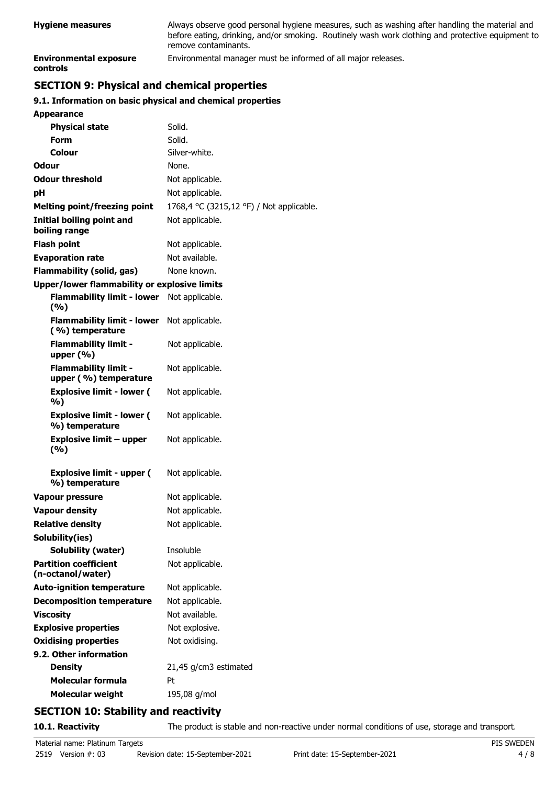| <b>Hygiene measures</b>                          | Always observe good personal hygiene measures, such as washing after handling the material and<br>before eating, drinking, and/or smoking. Routinely wash work clothing and protective equipment to<br>remove contaminants. |
|--------------------------------------------------|-----------------------------------------------------------------------------------------------------------------------------------------------------------------------------------------------------------------------------|
| <b>Environmental exposure</b><br><b>controls</b> | Environmental manager must be informed of all major releases.                                                                                                                                                               |

# **SECTION 9: Physical and chemical properties**

# **9.1. Information on basic physical and chemical properties**

| <b>Appearance</b>                                    |                                          |
|------------------------------------------------------|------------------------------------------|
| <b>Physical state</b>                                | Solid.                                   |
| Form                                                 | Solid.                                   |
| Colour                                               | Silver-white.                            |
| Odour                                                | None.                                    |
| <b>Odour threshold</b>                               | Not applicable.                          |
| рH                                                   | Not applicable.                          |
| <b>Melting point/freezing point</b>                  | 1768,4 °C (3215,12 °F) / Not applicable. |
| Initial boiling point and<br>boiling range           | Not applicable.                          |
| <b>Flash point</b>                                   | Not applicable.                          |
| <b>Evaporation rate</b>                              | Not available.                           |
| Flammability (solid, gas)                            | None known.                              |
| <b>Upper/lower flammability or explosive limits</b>  |                                          |
| <b>Flammability limit - lower</b><br>(%)             | Not applicable.                          |
| <b>Flammability limit - lower</b><br>(%) temperature | Not applicable.                          |
| <b>Flammability limit -</b><br>upper $(\% )$         | Not applicable.                          |
| <b>Flammability limit -</b><br>upper (%) temperature | Not applicable.                          |
| <b>Explosive limit - lower (</b><br>%)               | Not applicable.                          |
| <b>Explosive limit - lower (</b><br>%) temperature   | Not applicable.                          |
| <b>Explosive limit - upper</b><br>(%)                | Not applicable.                          |
| <b>Explosive limit - upper (</b><br>%) temperature   | Not applicable.                          |
| <b>Vapour pressure</b>                               | Not applicable.                          |
| <b>Vapour density</b>                                | Not applicable.                          |
| <b>Relative density</b>                              | Not applicable.                          |
| Solubility(ies)                                      |                                          |
| Solubility (water)                                   | Insoluble                                |
| <b>Partition coefficient</b><br>(n-octanol/water)    | Not applicable.                          |
| <b>Auto-ignition temperature</b>                     | Not applicable.                          |
| <b>Decomposition temperature</b>                     | Not applicable.                          |
| <b>Viscosity</b>                                     | Not available.                           |
| <b>Explosive properties</b>                          | Not explosive.                           |
| <b>Oxidising properties</b>                          | Not oxidising.                           |
| 9.2. Other information                               |                                          |
| <b>Density</b>                                       | 21,45 g/cm3 estimated                    |
| <b>Molecular formula</b>                             | Pt                                       |
| <b>Molecular weight</b>                              | 195,08 g/mol                             |
|                                                      |                                          |

# **SECTION 10: Stability and reactivity**

10.1. Reactivity The product is stable and non-reactive under normal conditions of use, storage and transport.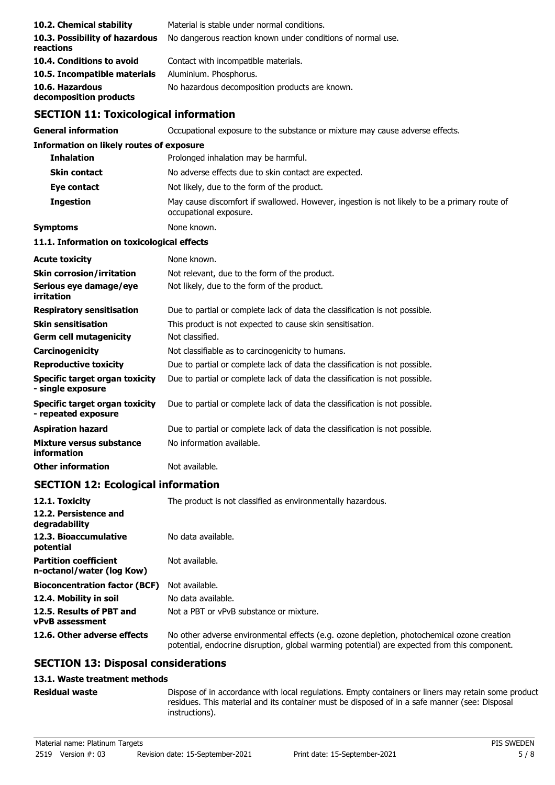| 10.2. Chemical stability<br>10.3. Possibility of hazardous<br>reactions<br>10.4. Conditions to avoid | Material is stable under normal conditions.<br>No dangerous reaction known under conditions of normal use.<br>Contact with incompatible materials.<br>Aluminium. Phosphorus.<br>No hazardous decomposition products are known. |
|------------------------------------------------------------------------------------------------------|--------------------------------------------------------------------------------------------------------------------------------------------------------------------------------------------------------------------------------|
|                                                                                                      |                                                                                                                                                                                                                                |
|                                                                                                      |                                                                                                                                                                                                                                |
|                                                                                                      |                                                                                                                                                                                                                                |
| 10.5. Incompatible materials                                                                         |                                                                                                                                                                                                                                |
| 10.6. Hazardous<br>decomposition products                                                            |                                                                                                                                                                                                                                |
| <b>SECTION 11: Toxicological information</b>                                                         |                                                                                                                                                                                                                                |
| <b>General information</b>                                                                           | Occupational exposure to the substance or mixture may cause adverse effects.                                                                                                                                                   |
| <b>Information on likely routes of exposure</b>                                                      |                                                                                                                                                                                                                                |
| <b>Inhalation</b>                                                                                    | Prolonged inhalation may be harmful.                                                                                                                                                                                           |
| <b>Skin contact</b>                                                                                  | No adverse effects due to skin contact are expected.                                                                                                                                                                           |
| Eye contact                                                                                          | Not likely, due to the form of the product.                                                                                                                                                                                    |
| <b>Ingestion</b>                                                                                     | May cause discomfort if swallowed. However, ingestion is not likely to be a primary route of<br>occupational exposure.                                                                                                         |
| <b>Symptoms</b>                                                                                      | None known.                                                                                                                                                                                                                    |
| 11.1. Information on toxicological effects                                                           |                                                                                                                                                                                                                                |
| <b>Acute toxicity</b>                                                                                | None known.                                                                                                                                                                                                                    |
| <b>Skin corrosion/irritation</b>                                                                     | Not relevant, due to the form of the product.                                                                                                                                                                                  |
| Serious eye damage/eye<br>irritation                                                                 | Not likely, due to the form of the product.                                                                                                                                                                                    |
| <b>Respiratory sensitisation</b>                                                                     | Due to partial or complete lack of data the classification is not possible.                                                                                                                                                    |
| <b>Skin sensitisation</b>                                                                            | This product is not expected to cause skin sensitisation.                                                                                                                                                                      |
| <b>Germ cell mutagenicity</b>                                                                        | Not classified.                                                                                                                                                                                                                |
| Carcinogenicity                                                                                      | Not classifiable as to carcinogenicity to humans.                                                                                                                                                                              |
| <b>Reproductive toxicity</b>                                                                         | Due to partial or complete lack of data the classification is not possible.                                                                                                                                                    |
| <b>Specific target organ toxicity</b><br>- single exposure                                           | Due to partial or complete lack of data the classification is not possible.                                                                                                                                                    |
| <b>Specific target organ toxicity</b><br>- repeated exposure                                         | Due to partial or complete lack of data the classification is not possible.                                                                                                                                                    |
| <b>Aspiration hazard</b>                                                                             | Due to partial or complete lack of data the classification is not possible.                                                                                                                                                    |
| <b>Mixture versus substance</b><br>information                                                       | No information available.                                                                                                                                                                                                      |
| <b>Other information</b>                                                                             | Not available.                                                                                                                                                                                                                 |
| <b>SECTION 12: Ecological information</b>                                                            |                                                                                                                                                                                                                                |
| 12.1. Toxicity                                                                                       | The product is not classified as environmentally hazardous.                                                                                                                                                                    |

| 12.2. Persistence and<br>degradability                    |                                                                                                                                                                                            |
|-----------------------------------------------------------|--------------------------------------------------------------------------------------------------------------------------------------------------------------------------------------------|
| 12.3. Bioaccumulative<br>potential                        | No data available.                                                                                                                                                                         |
| <b>Partition coefficient</b><br>n-octanol/water (log Kow) | Not available.                                                                                                                                                                             |
| <b>Bioconcentration factor (BCF)</b>                      | Not available.                                                                                                                                                                             |
| 12.4. Mobility in soil                                    | No data available.                                                                                                                                                                         |
| 12.5. Results of PBT and<br><b>vPvB</b> assessment        | Not a PBT or vPvB substance or mixture.                                                                                                                                                    |
| 12.6. Other adverse effects                               | No other adverse environmental effects (e.g. ozone depletion, photochemical ozone creation<br>potential, endocrine disruption, global warming potential) are expected from this component. |

## **SECTION 13: Disposal considerations**

## **13.1. Waste treatment methods**

#### **Residual waste**

Dispose of in accordance with local regulations. Empty containers or liners may retain some product residues. This material and its container must be disposed of in a safe manner (see: Disposal instructions).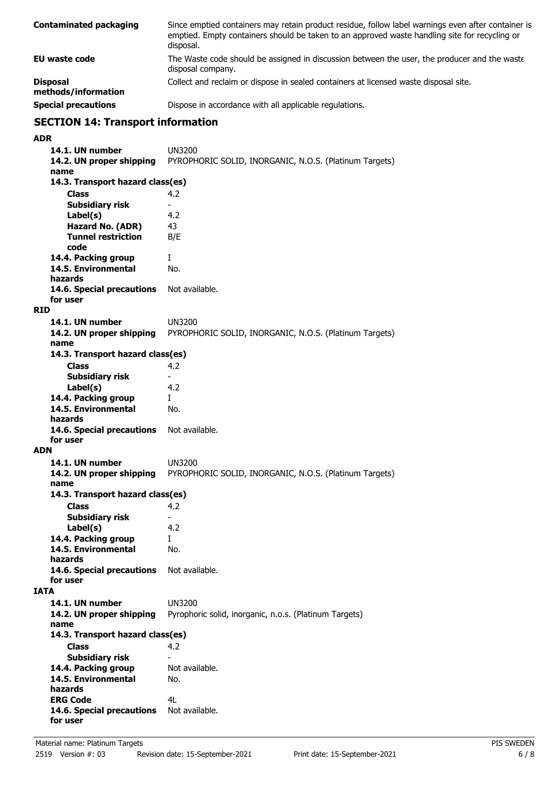| <b>Contaminated packaging</b>          | Since emptied containers may retain product residue, follow label warnings even after container is<br>emptied. Empty containers should be taken to an approved waste handling site for recycling or<br>disposal. |
|----------------------------------------|------------------------------------------------------------------------------------------------------------------------------------------------------------------------------------------------------------------|
| EU waste code                          | The Waste code should be assigned in discussion between the user, the producer and the waste<br>disposal company.                                                                                                |
| <b>Disposal</b><br>methods/information | Collect and reclaim or dispose in sealed containers at licensed waste disposal site.                                                                                                                             |
| _____                                  |                                                                                                                                                                                                                  |

**Special precautions Dispose in accordance with all applicable regulations.** 

# **SECTION 14: Transport information**

**ADR**

```
14.1. UN number UN3200
   14.2. UN proper shipping PYROPHORIC SOLID, INORGANIC, N.O.S. (Platinum Targets)
   name
      Class 4.2
   14.3. Transport hazard class(es)
      Subsidiary risk
      Label(s) 4.2
      Hazard No. (ADR) 43
      Tunnel restriction B/E
      code
   14.4. Packing group I
   14.5. Environmental No.
   hazards
   14.6. Special precautions Not available.
   for user
RID
   14.1. UN number UN3200
   14.2. UN proper shipping PYROPHORIC SOLID, INORGANIC, N.O.S. (Platinum Targets)
   name
      Class 4.2
   14.3. Transport hazard class(es)
      Subsidiary risk
      Label(s) 4.2
   14.4. Packing group I
   14.5. Environmental No.
   hazards
   14.6. Special precautions Not available.
   for user
ADN
   14.1. UN number UN3200
   14.2. UN proper shipping PYROPHORIC SOLID, INORGANIC, N.O.S. (Platinum Targets)
   name
      Class 4.2
   14.3. Transport hazard class(es)
      Subsidiary risk
      Label(s) 4.2
   14.4. Packing group I
   14.5. Environmental No.
   hazards
   14.6. Special precautions Not available.
   for user
IATA
   14.1. UN number UN3200
   14.2. UN proper shipping Pyrophoric solid, inorganic, n.o.s. (Platinum Targets)
   name
      Class 4.2
   14.3. Transport hazard class(es)
      Subsidiary risk and a set of the Subsidiary risk and the set of available.
   14.4. Packing group
   14.5. Environmental No.
   hazards
   ERG Code 4L
   14.6. Special precautions Not available.
   for user
```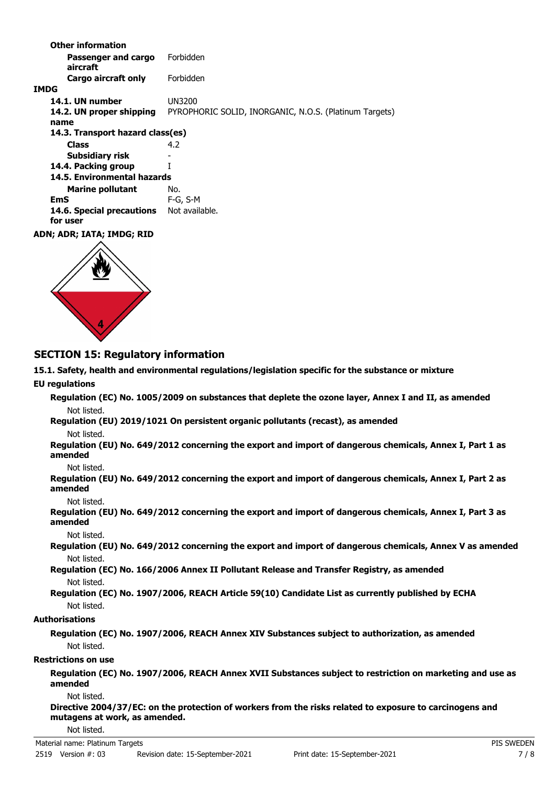**Passenger and cargo** Forbidden **aircraft Other information Cargo aircraft only** Forbidden **IMDG 14.1. UN number** UN3200 **14.2. UN proper shipping** PYROPHORIC SOLID, INORGANIC, N.O.S. (Platinum Targets) **name Class** 4.2 **14.3. Transport hazard class(es) Subsidiary risk 14.4. Packing group** I **Marine pollutant** No. **14.5. Environmental hazards EmS** F-G, S-M 14.6. Special precautions Not available. **for user ADN; ADR; IATA; IMDG; RID**



## **SECTION 15: Regulatory information**

**15.1. Safety, health and environmental regulations/legislation specific for the substance or mixture**

#### **EU regulations**

**Regulation (EC) No. 1005/2009 on substances that deplete the ozone layer, Annex I and II, as amended** Not listed.

**Regulation (EU) 2019/1021 On persistent organic pollutants (recast), as amended**

Not listed.

**Regulation (EU) No. 649/2012 concerning the export and import of dangerous chemicals, Annex I, Part 1 as amended**

Not listed.

**Regulation (EU) No. 649/2012 concerning the export and import of dangerous chemicals, Annex I, Part 2 as amended**

Not listed.

**Regulation (EU) No. 649/2012 concerning the export and import of dangerous chemicals, Annex I, Part 3 as amended**

Not listed.

**Regulation (EU) No. 649/2012 concerning the export and import of dangerous chemicals, Annex V as amended** Not listed.

**Regulation (EC) No. 166/2006 Annex II Pollutant Release and Transfer Registry, as amended** Not listed.

**Regulation (EC) No. 1907/2006, REACH Article 59(10) Candidate List as currently published by ECHA** Not listed.

#### **Authorisations**

**Regulation (EC) No. 1907/2006, REACH Annex XIV Substances subject to authorization, as amended** Not listed.

#### **Restrictions on use**

**Regulation (EC) No. 1907/2006, REACH Annex XVII Substances subject to restriction on marketing and use as amended**

Not listed.

**Directive 2004/37/EC: on the protection of workers from the risks related to exposure to carcinogens and mutagens at work, as amended.**

#### Not listed.